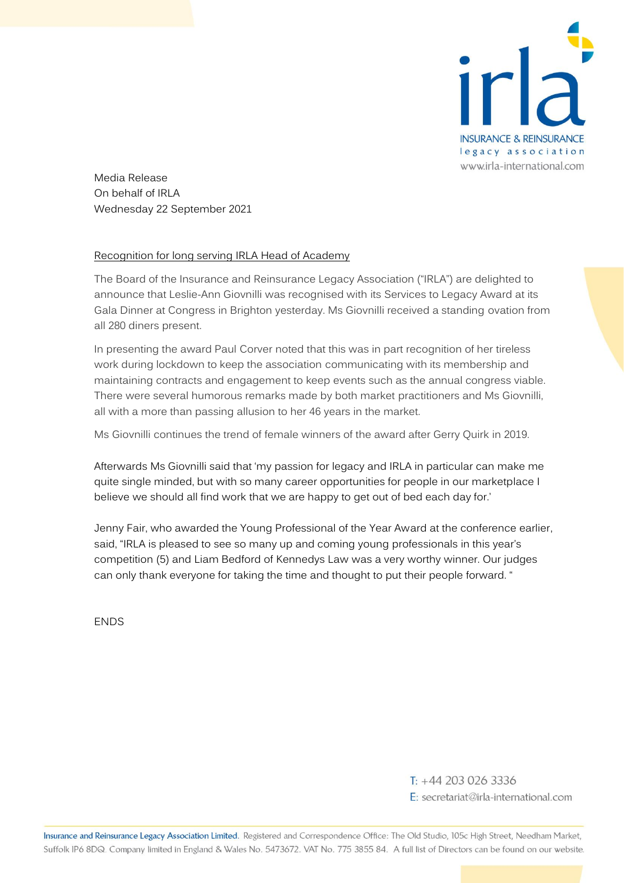

Media Release On behalf of IRLA Wednesday 22 September 2021

## Recognition for long serving IRLA Head of Academy

The Board of the Insurance and Reinsurance Legacy Association ("IRLA") are delighted to announce that Leslie-Ann Giovnilli was recognised with its Services to Legacy Award at its Gala Dinner at Congress in Brighton yesterday. Ms Giovnilli received a standing ovation from all 280 diners present.

In presenting the award Paul Corver noted that this was in part recognition of her tireless work during lockdown to keep the association communicating with its membership and maintaining contracts and engagement to keep events such as the annual congress viable. There were several humorous remarks made by both market practitioners and Ms Giovnilli, all with a more than passing allusion to her 46 years in the market.

Ms Giovnilli continues the trend of female winners of the award after Gerry Quirk in 2019.

Afterwards Ms Giovnilli said that 'my passion for legacy and IRLA in particular can make me quite single minded, but with so many career opportunities for people in our marketplace I believe we should all find work that we are happy to get out of bed each day for.'

Jenny Fair, who awarded the Young Professional of the Year Award at the conference earlier, said, "IRLA is pleased to see so many up and coming young professionals in this year's competition (5) and Liam Bedford of Kennedys Law was a very worthy winner. Our judges can only thank everyone for taking the time and thought to put their people forward. "

**FNDS** 

 $T: +442030263336$ E: secretariat@irla-international.com

Insurance and Reinsurance Legacy Association Limited. Registered and Correspondence Office: The Old Studio, 105c High Street, Needham Market, Suffolk IP6 8DQ. Company limited in England & Wales No. 5473672. VAT No. 775 3855 84. A full list of Directors can be found on our website.